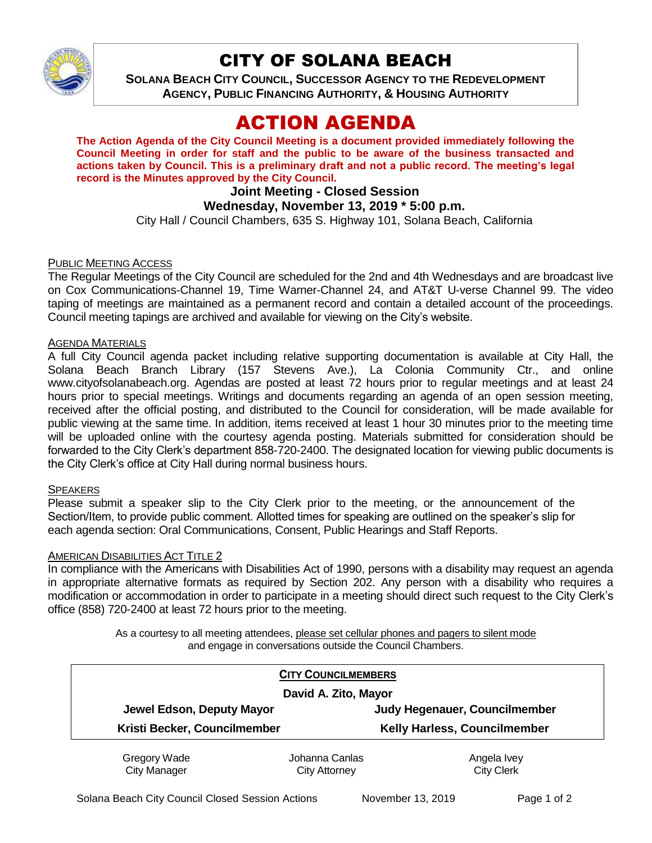

## CITY OF SOLANA BEACH

**SOLANA BEACH CITY COUNCIL, SUCCESSOR AGENCY TO THE REDEVELOPMENT AGENCY, PUBLIC FINANCING AUTHORITY, & HOUSING AUTHORITY** 

# ACTION AGENDA

**The Action Agenda of the City Council Meeting is a document provided immediately following the Council Meeting in order for staff and the public to be aware of the business transacted and actions taken by Council. This is a preliminary draft and not a public record. The meeting's legal record is the Minutes approved by the City Council.**

## **Joint Meeting - Closed Session**

### **Wednesday, November 13, 2019 \* 5:00 p.m.**

City Hall / Council Chambers, 635 S. Highway 101, Solana Beach, California

#### PUBLIC MEETING ACCESS

The Regular Meetings of the City Council are scheduled for the 2nd and 4th Wednesdays and are broadcast live on Cox Communications-Channel 19, Time Warner-Channel 24, and AT&T U-verse Channel 99. The video taping of meetings are maintained as a permanent record and contain a detailed account of the proceedings. Council meeting tapings are archived and available for viewing on the City's website.

#### AGENDA MATERIALS

A full City Council agenda packet including relative supporting documentation is available at City Hall, the Solana Beach Branch Library (157 Stevens Ave.), La Colonia Community Ctr., and online www.cityofsolanabeach.org. Agendas are posted at least 72 hours prior to regular meetings and at least 24 hours prior to special meetings. Writings and documents regarding an agenda of an open session meeting, received after the official posting, and distributed to the Council for consideration, will be made available for public viewing at the same time. In addition, items received at least 1 hour 30 minutes prior to the meeting time will be uploaded online with the courtesy agenda posting. Materials submitted for consideration should be forwarded to the City Clerk's department 858-720-2400. The designated location for viewing public documents is the City Clerk's office at City Hall during normal business hours.

#### **SPEAKERS**

Please submit a speaker slip to the City Clerk prior to the meeting, or the announcement of the Section/Item, to provide public comment. Allotted times for speaking are outlined on the speaker's slip for each agenda section: Oral Communications, Consent, Public Hearings and Staff Reports.

#### **AMERICAN DISABILITIES ACT TITLE 2**

In compliance with the Americans with Disabilities Act of 1990, persons with a disability may request an agenda in appropriate alternative formats as required by Section 202. Any person with a disability who requires a modification or accommodation in order to participate in a meeting should direct such request to the City Clerk's office (858) 720-2400 at least 72 hours prior to the meeting.

> As a courtesy to all meeting attendees, please set cellular phones and pagers to silent mode and engage in conversations outside the Council Chambers.

| <b>CITY COUNCILMEMBERS</b>   |                |                                     |
|------------------------------|----------------|-------------------------------------|
| David A. Zito, Mayor         |                |                                     |
| Jewel Edson, Deputy Mayor    |                | Judy Hegenauer, Councilmember       |
| Kristi Becker, Councilmember |                | <b>Kelly Harless, Councilmember</b> |
| Gregory Wade                 | Johanna Canlas | Angela Ivey                         |

City Manager

Johanna Canlas City Attorney

Angela Ivey City Clerk